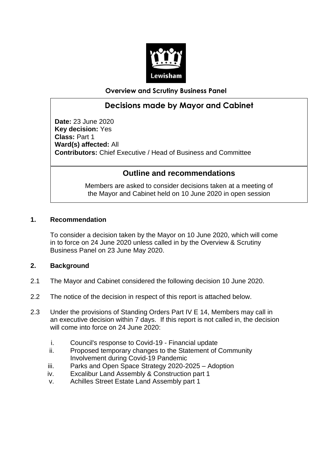

**Overview and Scrutiny Business Panel**

## **Decisions made by Mayor and Cabinet**

**Date:** 23 June 2020 **Key decision:** Yes **Class:** Part 1 **Ward(s) affected:** All **Contributors:** Chief Executive / Head of Business and Committee

### **Outline and recommendations**

Members are asked to consider decisions taken at a meeting of the Mayor and Cabinet held on 10 June 2020 in open session

### **1. Recommendation**

To consider a decision taken by the Mayor on 10 June 2020, which will come in to force on 24 June 2020 unless called in by the Overview & Scrutiny Business Panel on 23 June May 2020.

### **2. Background**

- 2.1 The Mayor and Cabinet considered the following decision 10 June 2020.
- 2.2 The notice of the decision in respect of this report is attached below.
- 2.3 Under the provisions of Standing Orders Part IV E 14, Members may call in an executive decision within 7 days. If this report is not called in, the decision will come into force on 24 June 2020:
	- i. Council's response to Covid-19 Financial update
	- ii. Proposed temporary changes to the Statement of Community Involvement during Covid-19 Pandemic
	- iii. Parks and Open Space Strategy 2020-2025 Adoption
	- iv. Excalibur Land Assembly & Construction part 1
	- v. Achilles Street Estate Land Assembly part 1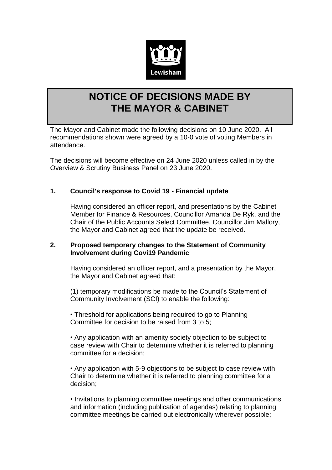

# **NOTICE OF DECISIONS MADE BY THE MAYOR & CABINET**

The Mayor and Cabinet made the following decisions on 10 June 2020. All recommendations shown were agreed by a 10-0 vote of voting Members in attendance.

The decisions will become effective on 24 June 2020 unless called in by the Overview & Scrutiny Business Panel on 23 June 2020.

### **1. Council's response to Covid 19 - Financial update**

Having considered an officer report, and presentations by the Cabinet Member for Finance & Resources, Councillor Amanda De Ryk, and the Chair of the Public Accounts Select Committee, Councillor Jim Mallory, the Mayor and Cabinet agreed that the update be received.

### **2. Proposed temporary changes to the Statement of Community Involvement during Covi19 Pandemic**

Having considered an officer report, and a presentation by the Mayor, the Mayor and Cabinet agreed that:

(1) temporary modifications be made to the Council's Statement of Community Involvement (SCI) to enable the following:

• Threshold for applications being required to go to Planning Committee for decision to be raised from 3 to 5;

• Any application with an amenity society objection to be subject to case review with Chair to determine whether it is referred to planning committee for a decision;

• Any application with 5-9 objections to be subject to case review with Chair to determine whether it is referred to planning committee for a decision;

• Invitations to planning committee meetings and other communications and information (including publication of agendas) relating to planning committee meetings be carried out electronically wherever possible;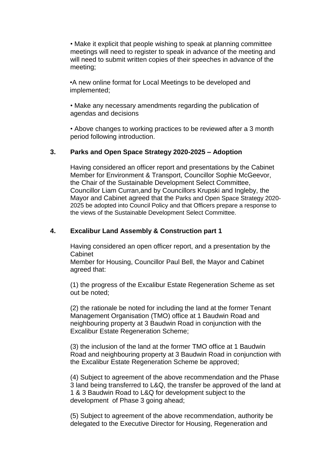• Make it explicit that people wishing to speak at planning committee meetings will need to register to speak in advance of the meeting and will need to submit written copies of their speeches in advance of the meeting;

•A new online format for Local Meetings to be developed and implemented;

• Make any necessary amendments regarding the publication of agendas and decisions

• Above changes to working practices to be reviewed after a 3 month period following introduction.

### **3. Parks and Open Space Strategy 2020-2025 – Adoption**

Having considered an officer report and presentations by the Cabinet Member for Environment & Transport, Councillor Sophie McGeevor, the Chair of the Sustainable Development Select Committee, Councillor Liam Curran,and by Councillors Krupski and Ingleby, the Mayor and Cabinet agreed that the Parks and Open Space Strategy 2020- 2025 be adopted into Council Policy and that Officers prepare a response to the views of the Sustainable Development Select Committee.

#### **4. Excalibur Land Assembly & Construction part 1**

Having considered an open officer report, and a presentation by the Cabinet

Member for Housing, Councillor Paul Bell, the Mayor and Cabinet agreed that:

(1) the progress of the Excalibur Estate Regeneration Scheme as set out be noted;

(2) the rationale be noted for including the land at the former Tenant Management Organisation (TMO) office at 1 Baudwin Road and neighbouring property at 3 Baudwin Road in conjunction with the Excalibur Estate Regeneration Scheme;

(3) the inclusion of the land at the former TMO office at 1 Baudwin Road and neighbouring property at 3 Baudwin Road in conjunction with the Excalibur Estate Regeneration Scheme be approved;

(4) Subject to agreement of the above recommendation and the Phase 3 land being transferred to L&Q, the transfer be approved of the land at 1 & 3 Baudwin Road to L&Q for development subject to the development of Phase 3 going ahead;

(5) Subject to agreement of the above recommendation, authority be delegated to the Executive Director for Housing, Regeneration and